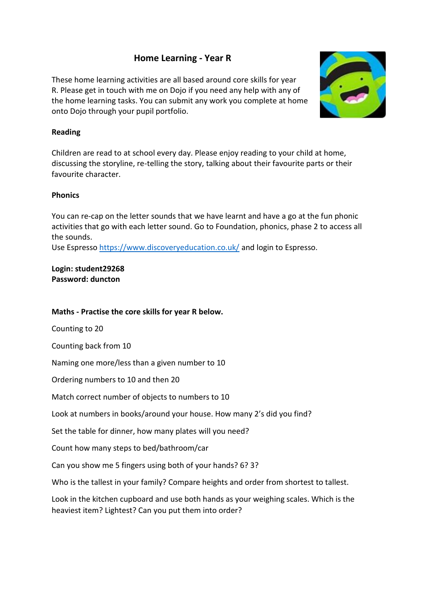# **Home Learning - Year R**

These home learning activities are all based around core skills for year R. Please get in touch with me on Dojo if you need any help with any of the home learning tasks. You can submit any work you complete at home onto Dojo through your pupil portfolio.



### **Reading**

Children are read to at school every day. Please enjoy reading to your child at home, discussing the storyline, re-telling the story, talking about their favourite parts or their favourite character.

#### **Phonics**

You can re-cap on the letter sounds that we have learnt and have a go at the fun phonic activities that go with each letter sound. Go to Foundation, phonics, phase 2 to access all the sounds.

Use Espresso https://www.discoveryeducation.co.uk/ and login to Espresso.

**Login: student29268 Password: duncton** 

#### **Maths - Practise the core skills for year R below.**

Counting to 20

Counting back from 10

Naming one more/less than a given number to 10

Ordering numbers to 10 and then 20

Match correct number of objects to numbers to 10

Look at numbers in books/around your house. How many 2's did you find?

Set the table for dinner, how many plates will you need?

Count how many steps to bed/bathroom/car

Can you show me 5 fingers using both of your hands? 6? 3?

Who is the tallest in your family? Compare heights and order from shortest to tallest.

Look in the kitchen cupboard and use both hands as your weighing scales. Which is the heaviest item? Lightest? Can you put them into order?